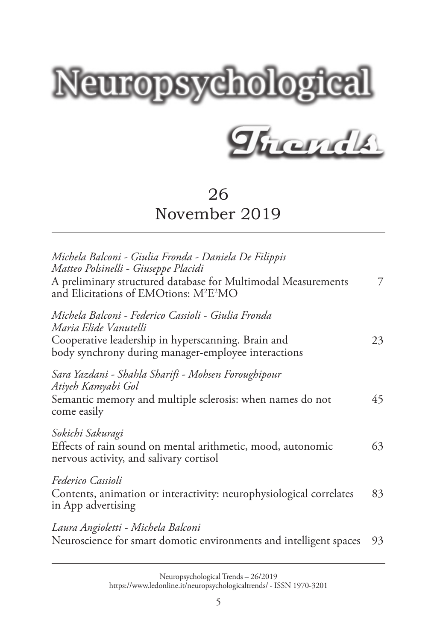

Thends

# 26 November 2019

| Michela Balconi - Giulia Fronda - Daniela De Filippis<br>Matteo Polsinelli - Giuseppe Placidi<br>A preliminary structured database for Multimodal Measurements<br>and Elicitations of EMOtions: M <sup>2</sup> E <sup>2</sup> MO | 7  |
|----------------------------------------------------------------------------------------------------------------------------------------------------------------------------------------------------------------------------------|----|
| Michela Balconi - Federico Cassioli - Giulia Fronda<br>Maria Elide Vanutelli<br>Cooperative leadership in hyperscanning. Brain and<br>body synchrony during manager-employee interactions                                        | 23 |
| Sara Yazdani - Shahla Sharifi - Mohsen Foroughipour<br>Atiyeh Kamyabi Gol<br>Semantic memory and multiple sclerosis: when names do not<br>come easily                                                                            | 45 |
| Sokichi Sakuragi<br>Effects of rain sound on mental arithmetic, mood, autonomic<br>nervous activity, and salivary cortisol                                                                                                       | 63 |
| Federico Cassioli<br>Contents, animation or interactivity: neurophysiological correlates<br>in App advertising                                                                                                                   | 83 |
| Laura Angioletti - Michela Balconi<br>Neuroscience for smart domotic environments and intelligent spaces                                                                                                                         | 93 |

Neuropsychological Trends – 26/2019 [https://www.ledonline.it/neuropsychologicaltrends/ - ISSN 1970-3201](https://www.ledonline.it/neuropsychologicaltrends/)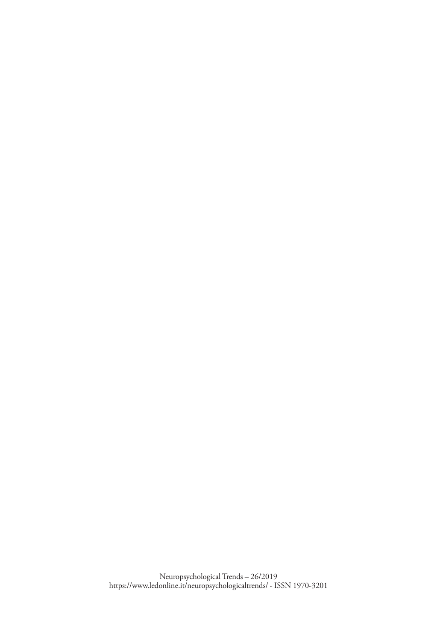Neuropsychological Trends – 26/2019 [https://www.ledonline.it/neuropsychologicaltrends/ - ISSN 1970-3201](https://www.ledonline.it/neuropsychologicaltrends/)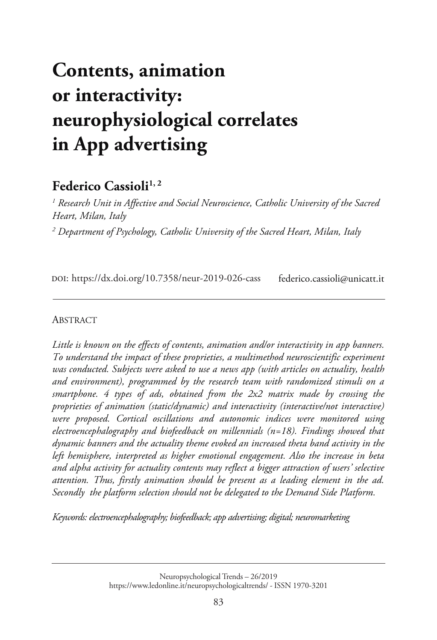# **Contents, animation or interactivity: neurophysiological correlates in App advertising**

# **Federico Cassioli1, <sup>2</sup>**

<sup>1</sup> Research Unit in Affective and Social Neuroscience, Catholic University of the Sacred *Heart, Milan, Italy* 

*2 Department of Psychology, Catholic University of the Sacred Heart, Milan, Italy* 

doi: <https://dx.doi.org/10.7358/neur-2019-026-cass> federico.cassioli@unicatt.it

#### ABSTRACT

*Little is known on the effects of contents, animation and/or interactivity in app banners. To understand the impact of these proprieties, a multimethod neuroscientific experiment was conducted. Subjects were asked to use a news app (with articles on actuality, health and environment), programmed by the research team with randomized stimuli on a smartphone. 4 types of ads, obtained from the 2x2 matrix made by crossing the proprieties of animation (static/dynamic) and interactivity (interactive/not interactive) were proposed. Cortical oscillations and autonomic indices were monitored using electroencephalography and biofeedback on millennials (n=18). Findings showed that dynamic banners and the actuality theme evoked an increased theta band activity in the left hemisphere, interpreted as higher emotional engagement. Also the increase in beta and alpha activity for actuality contents may reflect a bigger attraction of users' selective attention. Thus, firstly animation should be present as a leading element in the ad. Secondly the platform selection should not be delegated to the Demand Side Platform.* 

*Keywords: electroencephalography; biofeedback; app advertising; digital; neuromarketing*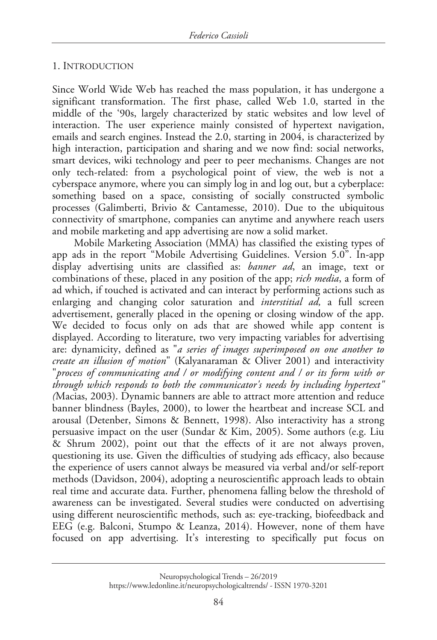#### 1. INTRODUCTION

Since World Wide Web has reached the mass population, it has undergone a significant transformation. The first phase, called Web 1.0, started in the middle of the '90s, largely characterized by static websites and low level of interaction. The user experience mainly consisted of hypertext navigation, emails and search engines. Instead the 2.0, starting in 2004, is characterized by high interaction, participation and sharing and we now find: social networks, smart devices, wiki technology and peer to peer mechanisms. Changes are not only tech-related: from a psychological point of view, the web is not a cyberspace anymore, where you can simply log in and log out, but a cyberplace: something based on a space, consisting of socially constructed symbolic processes (Galimberti, Brivio & Cantamesse, 2010). Due to the ubiquitous connectivity of smartphone, companies can anytime and anywhere reach users and mobile marketing and app advertising are now a solid market.

Mobile Marketing Association (MMA) has classified the existing types of app ads in the report "Mobile Advertising Guidelines. Version 5.0". In-app display advertising units are classified as: *banner ad*, an image, text or combinations of these, placed in any position of the app; *rich media*, a form of ad which, if touched is activated and can interact by performing actions such as enlarging and changing color saturation and *interstitial ad,* a full screen advertisement, generally placed in the opening or closing window of the app. We decided to focus only on ads that are showed while app content is displayed. According to literature, two very impacting variables for advertising are: dynamicity, defined as "*a series of images superimposed on one another to create an illusion of motion*" (Kalyanaraman & Oliver 2001) and interactivity "*process of communicating and / or modifying content and / or its form with or through which responds to both the communicator's needs by including hypertext" (*Macias, 2003). Dynamic banners are able to attract more attention and reduce banner blindness (Bayles, 2000), to lower the heartbeat and increase SCL and arousal (Detenber, Simons & Bennett, 1998). Also interactivity has a strong persuasive impact on the user (Sundar & Kim, 2005). Some authors (e.g. Liu & Shrum 2002), point out that the effects of it are not always proven, questioning its use. Given the difficulties of studying ads efficacy, also because the experience of users cannot always be measured via verbal and/or self-report methods (Davidson, 2004), adopting a neuroscientific approach leads to obtain real time and accurate data. Further, phenomena falling below the threshold of awareness can be investigated. Several studies were conducted on advertising using different neuroscientific methods, such as: eye-tracking, biofeedback and EEG (e.g. Balconi, Stumpo & Leanza, 2014). However, none of them have focused on app advertising. It's interesting to specifically put focus on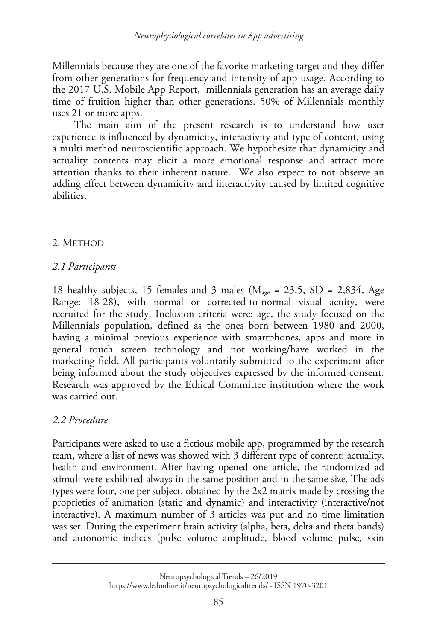Millennials because they are one of the favorite marketing target and they differ from other generations for frequency and intensity of app usage. According to the 2017 U.S. Mobile App Report, millennials generation has an average daily time of fruition higher than other generations. 50% of Millennials monthly uses 21 or more apps.

The main aim of the present research is to understand how user experience is influenced by dynamicity, interactivity and type of content, using a multi method neuroscientific approach. We hypothesize that dynamicity and actuality contents may elicit a more emotional response and attract more attention thanks to their inherent nature. We also expect to not observe an adding effect between dynamicity and interactivity caused by limited cognitive abilities.

# 2. METHOD

# *2.1 Participants*

18 healthy subjects, 15 females and 3 males ( $M_{\text{age}} = 23.5$ , SD = 2,834, Age Range: 18-28), with normal or corrected-to-normal visual acuity, were recruited for the study. Inclusion criteria were: age, the study focused on the Millennials population, defined as the ones born between 1980 and 2000, having a minimal previous experience with smartphones, apps and more in general touch screen technology and not working/have worked in the marketing field. All participants voluntarily submitted to the experiment after being informed about the study objectives expressed by the informed consent. Research was approved by the Ethical Committee institution where the work was carried out.

# *2.2 Procedure*

Participants were asked to use a fictious mobile app, programmed by the research team, where a list of news was showed with 3 different type of content: actuality, health and environment. After having opened one article, the randomized ad stimuli were exhibited always in the same position and in the same size. The ads types were four, one per subject, obtained by the 2x2 matrix made by crossing the proprieties of animation (static and dynamic) and interactivity (interactive/not interactive). A maximum number of 3 articles was put and no time limitation was set. During the experiment brain activity (alpha, beta, delta and theta bands) and autonomic indices (pulse volume amplitude, blood volume pulse, skin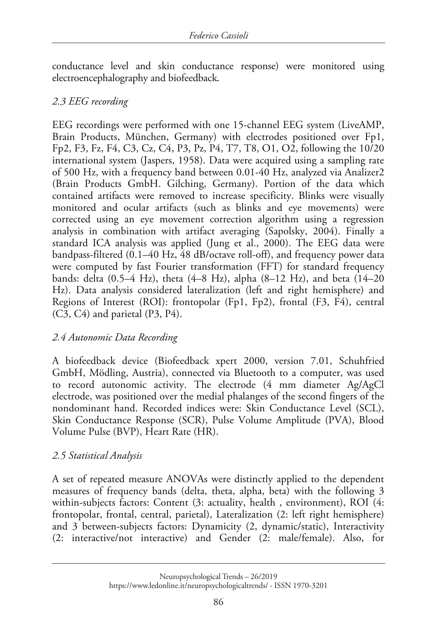conductance level and skin conductance response) were monitored using electroencephalography and biofeedback*.*

### *2.3 EEG recording*

EEG recordings were performed with one 15-channel EEG system (LiveAMP, Brain Products, München, Germany) with electrodes positioned over Fp1, Fp2, F3, Fz, F4, C3, Cz, C4, P3, Pz, P4, T7, T8, O1, O2, following the 10/20 international system (Jaspers, 1958). Data were acquired using a sampling rate of 500 Hz, with a frequency band between 0.01-40 Hz, analyzed via Analizer2 (Brain Products GmbH. Gilching, Germany). Portion of the data which contained artifacts were removed to increase specificity. Blinks were visually monitored and ocular artifacts (such as blinks and eye movements) were corrected using an eye movement correction algorithm using a regression analysis in combination with artifact averaging (Sapolsky, 2004). Finally a standard ICA analysis was applied (Jung et al., 2000). The EEG data were bandpass-filtered (0.1–40 Hz, 48 dB/octave roll-off), and frequency power data were computed by fast Fourier transformation (FFT) for standard frequency bands: delta (0.5–4 Hz), theta (4–8 Hz), alpha (8–12 Hz), and beta (14–20 Hz). Data analysis considered lateralization (left and right hemisphere) and Regions of Interest (ROI): frontopolar (Fp1, Fp2), frontal (F3, F4), central (C3, C4) and parietal (P3, P4).

# *2.4 Autonomic Data Recording*

A biofeedback device (Biofeedback xpert 2000, version 7.01, Schuhfried GmbH, Mödling, Austria), connected via Bluetooth to a computer, was used to record autonomic activity. The electrode (4 mm diameter Ag/AgCl electrode, was positioned over the medial phalanges of the second fingers of the nondominant hand. Recorded indices were: Skin Conductance Level (SCL), Skin Conductance Response (SCR), Pulse Volume Amplitude (PVA), Blood Volume Pulse (BVP), Heart Rate (HR).

# *2.5 Statistical Analysis*

A set of repeated measure ANOVAs were distinctly applied to the dependent measures of frequency bands (delta, theta, alpha, beta) with the following 3 within-subjects factors: Content (3: actuality, health , environment), ROI (4: frontopolar, frontal, central, parietal), Lateralization (2: left right hemisphere) and 3 between-subjects factors: Dynamicity (2, dynamic/static), Interactivity (2: interactive/not interactive) and Gender (2: male/female). Also, for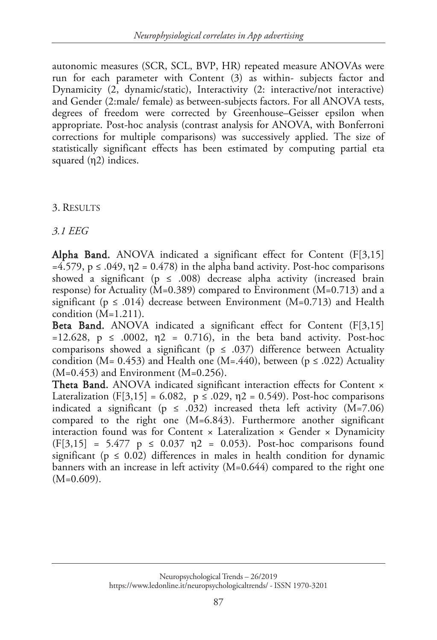autonomic measures (SCR, SCL, BVP, HR) repeated measure ANOVAs were run for each parameter with Content (3) as within- subjects factor and Dynamicity (2, dynamic/static), Interactivity (2: interactive/not interactive) and Gender (2:male/ female) as between-subjects factors. For all ANOVA tests, degrees of freedom were corrected by Greenhouse–Geisser epsilon when appropriate. Post-hoc analysis (contrast analysis for ANOVA, with Bonferroni corrections for multiple comparisons) was successively applied. The size of statistically significant effects has been estimated by computing partial eta squared (η2) indices.

3. RESULTS

*3.1 EEG* 

**Alpha Band.** ANOVA indicated a significant effect for Content  $(F[3,15])$  $=4.579$ ,  $p \le 0.049$ ,  $\eta$ 2 = 0.478) in the alpha band activity. Post-hoc comparisons showed a significant ( $p \leq .008$ ) decrease alpha activity (increased brain response) for Actuality ( $M=0.389$ ) compared to Environment ( $M=0.713$ ) and a significant ( $p \le 0.014$ ) decrease between Environment (M=0.713) and Health condition (M=1.211).

**Beta Band.** ANOVA indicated a significant effect for Content  $(F[3,15])$ =12.628,  $p \le 0.0002$ ,  $\eta$ 2 = 0.716), in the beta band activity. Post-hoc comparisons showed a significant ( $p \leq .037$ ) difference between Actuality condition (M= 0.453) and Health one (M=.440), between ( $p \le 0.022$ ) Actuality  $(M=0.453)$  and Environment  $(M=0.256)$ .

Theta Band. ANOVA indicated significant interaction effects for Content  $\times$ Lateralization (F[3,15] = 6.082,  $p \le 0.029$ ,  $p = 0.549$ ). Post-hoc comparisons indicated a significant ( $p \le .032$ ) increased theta left activity (M=7.06) compared to the right one (M=6.843). Furthermore another significant interaction found was for Content  $\times$  Lateralization  $\times$  Gender  $\times$  Dynamicity  $(F[3,15] = 5.477 \text{ p} \le 0.037 \text{ n}$ <br>  $2 = 0.053$ ). Post-hoc comparisons found significant ( $p \le 0.02$ ) differences in males in health condition for dynamic banners with an increase in left activity (M=0.644) compared to the right one  $(M=0.609)$ .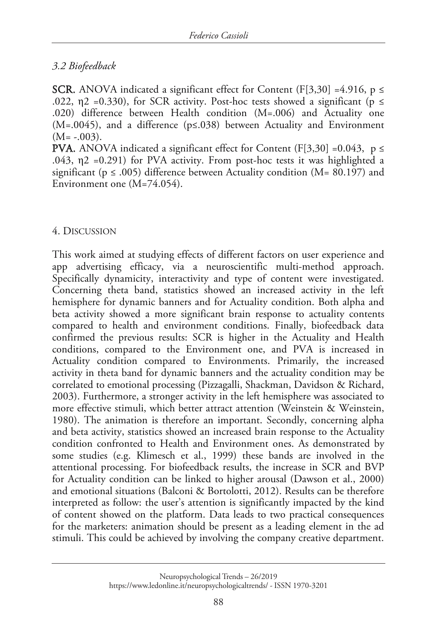# *3.2 Biofeedback*

**SCR.** ANOVA indicated a significant effect for Content (F[3,30] =4.916, p  $\le$ .022,  $n2 = 0.330$ , for SCR activity. Post-hoc tests showed a significant (p  $\leq$ .020) difference between Health condition (M=.006) and Actuality one  $(M=.0045)$ , and a difference ( $p \le 0.038$ ) between Actuality and Environment  $(M = -.003)$ .

**PVA.** ANOVA indicated a significant effect for Content (F[3,30] =0.043,  $p \le$ .043, η2 =0.291) for PVA activity. From post-hoc tests it was highlighted a significant ( $p \le .005$ ) difference between Actuality condition (M= 80.197) and Environment one (M=74.054).

#### 4. DISCUSSION

This work aimed at studying effects of different factors on user experience and app advertising efficacy, via a neuroscientific multi-method approach. Specifically dynamicity, interactivity and type of content were investigated. Concerning theta band, statistics showed an increased activity in the left hemisphere for dynamic banners and for Actuality condition. Both alpha and beta activity showed a more significant brain response to actuality contents compared to health and environment conditions. Finally, biofeedback data confirmed the previous results: SCR is higher in the Actuality and Health conditions, compared to the Environment one, and PVA is increased in Actuality condition compared to Environments. Primarily, the increased activity in theta band for dynamic banners and the actuality condition may be correlated to emotional processing (Pizzagalli, Shackman, Davidson & Richard, 2003). Furthermore, a stronger activity in the left hemisphere was associated to more effective stimuli, which better attract attention (Weinstein & Weinstein, 1980). The animation is therefore an important. Secondly, concerning alpha and beta activity, statistics showed an increased brain response to the Actuality condition confronted to Health and Environment ones. As demonstrated by some studies (e.g. Klimesch et al., 1999) these bands are involved in the attentional processing. For biofeedback results, the increase in SCR and BVP for Actuality condition can be linked to higher arousal (Dawson et al., 2000) and emotional situations (Balconi & Bortolotti, 2012). Results can be therefore interpreted as follow: the user's attention is significantly impacted by the kind of content showed on the platform. Data leads to two practical consequences for the marketers: animation should be present as a leading element in the ad stimuli. This could be achieved by involving the company creative department.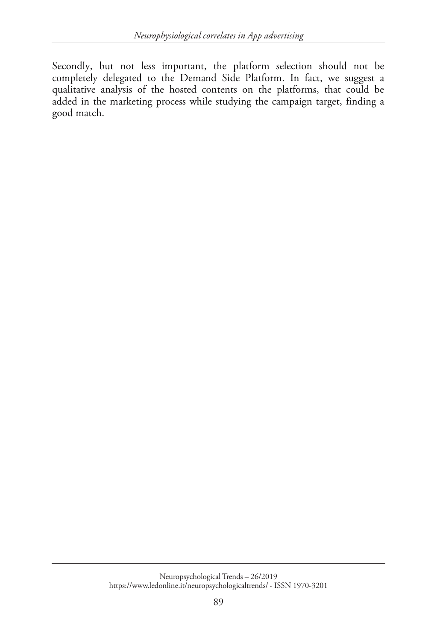Secondly, but not less important, the platform selection should not be completely delegated to the Demand Side Platform. In fact, we suggest a qualitative analysis of the hosted contents on the platforms, that could be added in the marketing process while studying the campaign target, finding a good match.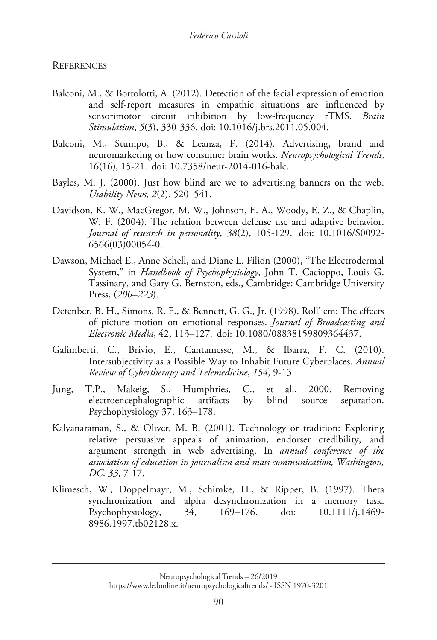#### **REFERENCES**

- Balconi, M., & Bortolotti, A. (2012). Detection of the facial expression of emotion and self-report measures in empathic situations are influenced by sensorimotor circuit inhibition by low-frequency rTMS. *Brain Stimulation*, *5*(3), 330-336. doi: 10.1016/j.brs.2011.05.004.
- Balconi, M., Stumpo, B., & Leanza, F. (2014). Advertising, brand and neuromarketing or how consumer brain works. *Neuropsychological Trends*, 16(16), 15-21. doi: 10.7358/neur-2014-016-balc.
- Bayles, M. J. (2000). Just how blind are we to advertising banners on the web. *Usability News*, *2*(2), 520–541.
- Davidson, K. W., MacGregor, M. W., Johnson, E. A., Woody, E. Z., & Chaplin, W. F. (2004). The relation between defense use and adaptive behavior. *Journal of research in personality*, *38*(2), 105-129. doi: 10.1016/S0092- 6566(03)00054-0.
- Dawson, Michael E., Anne Schell, and Diane L. Filion (2000), "The Electrodermal System," in *Handbook of Psychophysiology*, John T. Cacioppo, Louis G. Tassinary, and Gary G. Bernston, eds., Cambridge: Cambridge University Press, (*200–223*).
- Detenber, B. H., Simons, R. F., & Bennett, G. G., Jr. (1998). Roll' em: The effects of picture motion on emotional responses. *Journal of Broadcasting and Electronic Media*, 42, 113–127. doi: 10.1080/08838159809364437.
- Galimberti, C., Brivio, E., Cantamesse, M., & Ibarra, F. C. (2010). Intersubjectivity as a Possible Way to Inhabit Future Cyberplaces. *Annual Review of Cybertherapy and Telemedicine*, *154*, 9-13.
- Jung, T.P., Makeig, S., Humphries, C., et al., 2000. Removing electroencephalographic artifacts by blind source separation. Psychophysiology 37, 163–178.
- Kalyanaraman, S., & Oliver, M. B. (2001). Technology or tradition: Exploring relative persuasive appeals of animation, endorser credibility, and argument strength in web advertising. In *annual conference of the association of education in journalism and mass communication, Washington, DC*. *33,* 7-17.
- Klimesch, W., Doppelmayr, M., Schimke, H., & Ripper, B. (1997). Theta synchronization and alpha desynchronization in a memory task. Psychophysiology, 34, 169–176. doi: 10.1111/j.1469- 8986.1997.tb02128.x.

[https://www.ledonline.it/neuropsychologicaltrends/ - ISSN 1970-3201](https://www.ledonline.it/neuropsychologicaltrends/)

Neuropsychological Trends – 26/2019